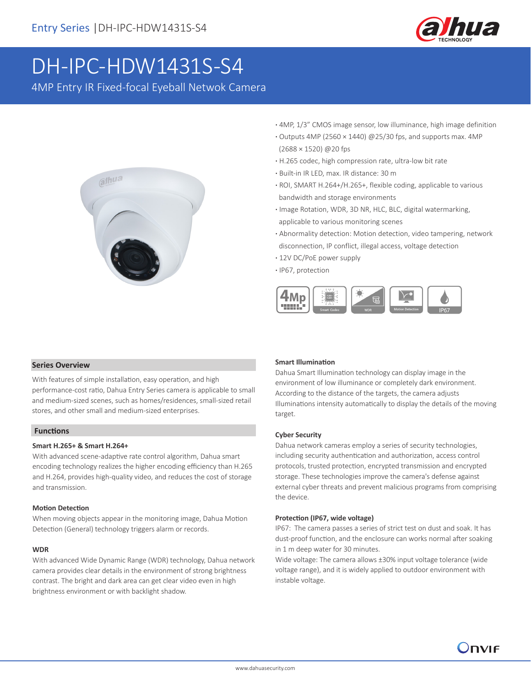

# DH-IPC-HDW1431S-S4

4MP Entry IR Fixed-focal Eyeball Netwok Camera



- **·** 4MP, 1/3" CMOS image sensor, low illuminance, high image definition
- **·** Outputs 4MP (2560 × 1440) @25/30 fps, and supports max. 4MP (2688 × 1520) @20 fps
- **·** H.265 codec, high compression rate, ultra-low bit rate
- **·** Built-in IR LED, max. IR distance: 30 m
- **·** ROI, SMART H.264+/H.265+, flexible coding, applicable to various bandwidth and storage environments
- **·** Image Rotation, WDR, 3D NR, HLC, BLC, digital watermarking, applicable to various monitoring scenes
- **·** Abnormality detection: Motion detection, video tampering, network disconnection, IP conflict, illegal access, voltage detection
- **·** 12V DC/PoE power supply
- **·** IP67, protection



# **Series Overview**

With features of simple installation, easy operation, and high performance-cost ratio, Dahua Entry Series camera is applicable to small and medium-sized scenes, such as homes/residences, small-sized retail stores, and other small and medium-sized enterprises.

# **Functions**

# **Smart H.265+ & Smart H.264+**

With advanced scene-adaptive rate control algorithm, Dahua smart encoding technology realizes the higher encoding efficiency than H.265 and H.264, provides high-quality video, and reduces the cost of storage and transmission.

#### **Motion Detection**

When moving objects appear in the monitoring image, Dahua Motion Detection (General) technology triggers alarm or records.

# **WDR**

With advanced Wide Dynamic Range (WDR) technology, Dahua network camera provides clear details in the environment of strong brightness contrast. The bright and dark area can get clear video even in high brightness environment or with backlight shadow.

# **Smart Illumination**

Dahua Smart Illumination technology can display image in the environment of low illuminance or completely dark environment. According to the distance of the targets, the camera adjusts Illuminations intensity automatically to display the details of the moving target.

# **Cyber Security**

Dahua network cameras employ a series of security technologies, including security authentication and authorization, access control protocols, trusted protection, encrypted transmission and encrypted storage. These technologies improve the camera's defense against external cyber threats and prevent malicious programs from comprising the device.

#### **Protection (IP67, wide voltage)**

IP67: The camera passes a series of strict test on dust and soak. It has dust-proof function, and the enclosure can works normal after soaking in 1 m deep water for 30 minutes.

Wide voltage: The camera allows ±30% input voltage tolerance (wide voltage range), and it is widely applied to outdoor environment with instable voltage.

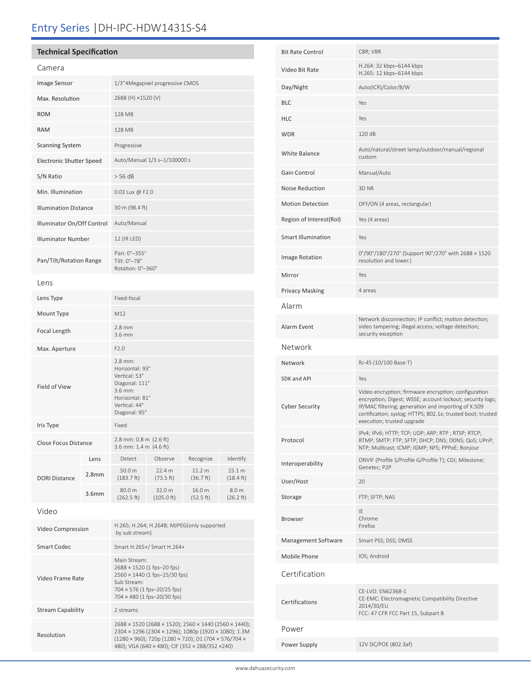# Entry Series |DH-IPC-HDW1431S-S4

# **Technical Specification**

Resolution

| Camera                          |                   |                                                                                                                                                          |                      |                     |                               |  |
|---------------------------------|-------------------|----------------------------------------------------------------------------------------------------------------------------------------------------------|----------------------|---------------------|-------------------------------|--|
| Image Sensor                    |                   | 1/3"4Megapixel progressive CMOS                                                                                                                          |                      |                     |                               |  |
| Max. Resolution                 |                   | 2688 (H) ×1520 (V)                                                                                                                                       |                      |                     |                               |  |
| <b>ROM</b>                      |                   | 128 MB                                                                                                                                                   |                      |                     |                               |  |
| <b>RAM</b>                      |                   | 128 MB                                                                                                                                                   |                      |                     |                               |  |
| <b>Scanning System</b>          |                   | Progressive                                                                                                                                              |                      |                     |                               |  |
| <b>Electronic Shutter Speed</b> |                   | Auto/Manual 1/3 s-1/100000 s                                                                                                                             |                      |                     |                               |  |
| S/N Ratio                       |                   | > 56 dB                                                                                                                                                  |                      |                     |                               |  |
| Min. Illumination               |                   | 0.03 Lux @ F2.0                                                                                                                                          |                      |                     |                               |  |
| <b>Illumination Distance</b>    |                   | 30 m (98.4 ft)                                                                                                                                           |                      |                     |                               |  |
| Illuminator On/Off Control      |                   | Auto/Manual                                                                                                                                              |                      |                     |                               |  |
| <b>Illuminator Number</b>       |                   | 12 (IR LED)                                                                                                                                              |                      |                     |                               |  |
| Pan/Tilt/Rotation Range         |                   | Pan: 0°-355°<br>Tilt: 0°-78°<br>Rotation: 0°-360°                                                                                                        |                      |                     |                               |  |
| Lens                            |                   |                                                                                                                                                          |                      |                     |                               |  |
| Lens Type                       |                   | Fixed-focal                                                                                                                                              |                      |                     |                               |  |
| Mount Type                      |                   | M12                                                                                                                                                      |                      |                     |                               |  |
| Focal Length                    |                   | $2.8 \text{ mm}$<br>3.6 mm                                                                                                                               |                      |                     |                               |  |
| Max. Aperture                   |                   | F2.0                                                                                                                                                     |                      |                     |                               |  |
| Field of View                   |                   | $2.8$ mm:<br>Horizontal: 93°<br>Vertical: 53°<br>Diagonal: 111°<br>$3.6$ mm:<br>Horizontal: 81°<br>Vertical: 44°<br>Diagonal: 95°                        |                      |                     |                               |  |
| Iris Type                       |                   | Fixed                                                                                                                                                    |                      |                     |                               |  |
| Close Focus Distance            |                   | 2.8 mm: 0.8 m (2.6 ft)<br>3.6 mm: 1.4 m (4.6 ft)                                                                                                         |                      |                     |                               |  |
|                                 | Lens              | Detect                                                                                                                                                   | Observe              | Recognize           | Identify                      |  |
| <b>DORI Distance</b>            | 2.8 <sub>mm</sub> | 50.0 m<br>(183.7 ft)                                                                                                                                     | 22.4 m<br>(73.5 ft)  | 11.2 m<br>(36.7 ft) | 15.1 m<br>$(18.4 \text{ ft})$ |  |
|                                 | 3.6 <sub>mm</sub> | 80.0 m<br>(262.5 ft)                                                                                                                                     | 32.0 m<br>(105.0 ft) | 16.0 m<br>(52.5 ft) | 8.0 m<br>(26.2 ft)            |  |
| Video                           |                   |                                                                                                                                                          |                      |                     |                               |  |
| Video Compression               |                   | H.265; H.264; H.264B; MJPEG(only supported<br>by sub stream)                                                                                             |                      |                     |                               |  |
| <b>Smart Codec</b>              |                   | Smart H.265+/ Smart H.264+                                                                                                                               |                      |                     |                               |  |
| Video Frame Rate                |                   | Main Stream:<br>2688 × 1520 (1 fps-20 fps)<br>2560 × 1440 (1 fps-25/30 fps)<br>Sub Stream:<br>704 × 576 (1 fps-20/25 fps)<br>704 × 480 (1 fps-20/30 fps) |                      |                     |                               |  |
| <b>Stream Capability</b>        |                   | 2 streams                                                                                                                                                |                      |                     |                               |  |

| <b>Bit Rate Control</b>   | CBR; VBR                                                                                                                                                                                                                                                              |  |
|---------------------------|-----------------------------------------------------------------------------------------------------------------------------------------------------------------------------------------------------------------------------------------------------------------------|--|
| Video Bit Rate            | H.264: 32 kbps-6144 kbps<br>H.265: 12 kbps-6144 kbps                                                                                                                                                                                                                  |  |
| Day/Night                 | Auto(ICR)/Color/B/W                                                                                                                                                                                                                                                   |  |
| <b>BLC</b>                | Yes                                                                                                                                                                                                                                                                   |  |
| <b>HLC</b>                | Yes                                                                                                                                                                                                                                                                   |  |
| <b>WDR</b>                | 120 dB                                                                                                                                                                                                                                                                |  |
| White Balance             | Auto/natural/street lamp/outdoor/manual/regional<br>custom                                                                                                                                                                                                            |  |
| Gain Control              | Manual/Auto                                                                                                                                                                                                                                                           |  |
| <b>Noise Reduction</b>    | 3D <sub>NR</sub>                                                                                                                                                                                                                                                      |  |
| <b>Motion Detection</b>   | OFF/ON (4 areas, rectangular)                                                                                                                                                                                                                                         |  |
| Region of Interest(RoI)   | Yes (4 areas)                                                                                                                                                                                                                                                         |  |
| <b>Smart Illumination</b> | Yes                                                                                                                                                                                                                                                                   |  |
| Image Rotation            | 0°/90°/180°/270° (Support 90°/270° with 2688 × 1520<br>resolution and lower.)                                                                                                                                                                                         |  |
| Mirror                    | Yes                                                                                                                                                                                                                                                                   |  |
| <b>Privacy Masking</b>    | 4 areas                                                                                                                                                                                                                                                               |  |
| Alarm                     |                                                                                                                                                                                                                                                                       |  |
| Alarm Event               | Network disconnection; IP conflict; motion detection;<br>video tampering; illegal access; voltage detection;<br>security exception                                                                                                                                    |  |
| Network                   |                                                                                                                                                                                                                                                                       |  |
| Network                   | RJ-45 (10/100 Base-T)                                                                                                                                                                                                                                                 |  |
| <b>SDK and API</b>        | Yes                                                                                                                                                                                                                                                                   |  |
| <b>Cyber Security</b>     | Video encryption; firmware encryption; configuration<br>encryption; Digest; WSSE; account lockout; security logs;<br>IP/MAC filtering; generation and importing of X.509<br>certification; syslog; HTTPS; 802.1x; trusted boot; trusted<br>execution; trusted upgrade |  |
| Protocol                  | IPv4; IPv6; HTTP; TCP; UDP; ARP; RTP; RTSP; RTCP;<br>RTMP; SMTP; FTP; SFTP; DHCP; DNS; DDNS; QoS; UPnP;<br>NTP; Multicast; ICMP; IGMP; NFS; PPPoE; Bonjour                                                                                                            |  |
| Interoperability          | ONVIF (Profile S/Profile G/Profile T); CGI; Milestone;<br>Genetec; P2P                                                                                                                                                                                                |  |
| User/Host                 | 20                                                                                                                                                                                                                                                                    |  |
| Storage                   | FTP; SFTP; NAS                                                                                                                                                                                                                                                        |  |
| <b>Browser</b>            | IE<br>Chrome<br>Firefox                                                                                                                                                                                                                                               |  |
| Management Software       | Smart PSS; DSS; DMSS                                                                                                                                                                                                                                                  |  |
| Mobile Phone              | IOS; Android                                                                                                                                                                                                                                                          |  |
| Certification             |                                                                                                                                                                                                                                                                       |  |
| Certifications            | CE-LVD: EN62368-1<br>CE-EMC: Electromagnetic Compatibility Directive<br>2014/30/EU<br>FCC: 47 CFR FCC Part 15, Subpart B                                                                                                                                              |  |
| Power                     |                                                                                                                                                                                                                                                                       |  |
| Power Supply              | 12V DC/POE (802.3af)                                                                                                                                                                                                                                                  |  |

2688 × 1520 (2688 × 1520); 2560 × 1440 (2560 × 1440); 2304 × 1296 (2304 × 1296); 1080p (1920 × 1080); 1.3M (1280 × 960); 720p (1280 × 720); D1 (704 × 576/704 × 480); VGA (640 × 480); CIF (352 × 288/352 ×240)